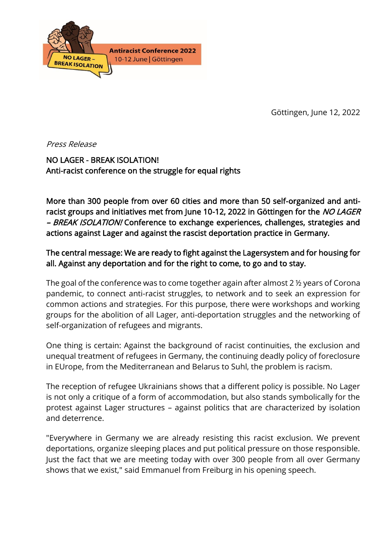

Göttingen, June 12, 2022

Press Release

NO LAGER - BREAK ISOLATION! Anti-racist conference on the struggle for equal rights

More than 300 people from over 60 cities and more than 50 self-organized and antiracist groups and initiatives met from June 10-12, 2022 in Göttingen for the NO LAGER - BREAK ISOLATION! Conference to exchange experiences, challenges, strategies and actions against Lager and against the rascist deportation practice in Germany.

## The central message: We are ready to fight against the Lagersystem and for housing for all. Against any deportation and for the right to come, to go and to stay.

The goal of the conference was to come together again after almost 2 ½ years of Corona pandemic, to connect anti-racist struggles, to network and to seek an expression for common actions and strategies. For this purpose, there were workshops and working groups for the abolition of all Lager, anti-deportation struggles and the networking of self-organization of refugees and migrants.

One thing is certain: Against the background of racist continuities, the exclusion and unequal treatment of refugees in Germany, the continuing deadly policy of foreclosure in EUrope, from the Mediterranean and Belarus to Suhl, the problem is racism.

The reception of refugee Ukrainians shows that a different policy is possible. No Lager is not only a critique of a form of accommodation, but also stands symbolically for the protest against Lager structures – against politics that are characterized by isolation and deterrence.

"Everywhere in Germany we are already resisting this racist exclusion. We prevent deportations, organize sleeping places and put political pressure on those responsible. Just the fact that we are meeting today with over 300 people from all over Germany shows that we exist," said Emmanuel from Freiburg in his opening speech.